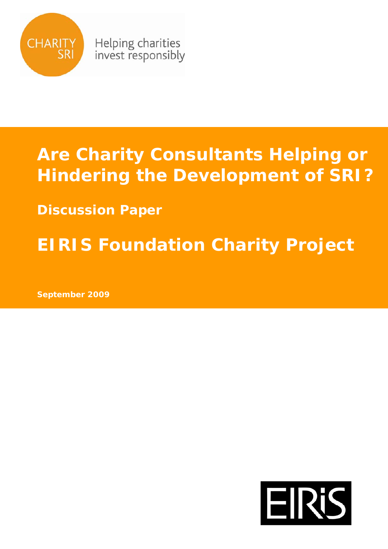

Helping charities invest responsibly

# **Are Charity Consultants Helping or Hindering the Development of SRI?**

**Discussion Paper**

**EIRIS Foundation Charity Project** 

**September 2009** 

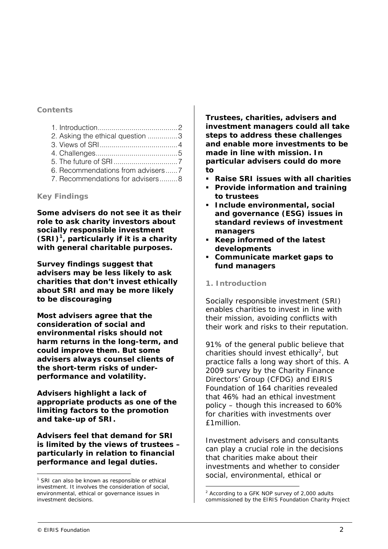## **Contents**

| 2. Asking the ethical question 3 |  |
|----------------------------------|--|
|                                  |  |
|                                  |  |
|                                  |  |
| 6. Recommendations from advisers |  |
| 7. Recommendations for advisers8 |  |

## **Key Findings**

**Some advisers do not see it as their role to ask charity investors about socially responsible investment (SRI)<sup>1</sup> , particularly if it is a charity with general charitable purposes.** 

**Survey findings suggest that advisers may be less likely to ask charities that don't invest ethically about SRI and may be more likely to be discouraging** 

**Most advisers agree that the consideration of social and environmental risks should not harm returns in the long-term, and could improve them. But some advisers always counsel clients of the short-term risks of underperformance and volatility.** 

**Advisers highlight a lack of appropriate products as one of the limiting factors to the promotion and take-up of SRI.** 

**Advisers feel that demand for SRI is limited by the views of trustees – particularly in relation to financial performance and legal duties.** 

**Trustees, charities, advisers and investment managers could all take steps to address these challenges and enable more investments to be made in line with mission. In particular advisers could do more to** 

- **Raise SRI issues with all charities**
- **Provide information and training to trustees**
- **Include environmental, social and governance (ESG) issues in standard reviews of investment managers**
- **Keep informed of the latest developments**
- **Communicate market gaps to fund managers**

## **1. Introduction**

Socially responsible investment (SRI) enables charities to invest in line with their mission, avoiding conflicts with their work and risks to their reputation.

91% of the general public believe that charities should invest ethically<sup>2</sup>, but practice falls a long way short of this. A 2009 survey by the Charity Finance Directors' Group (CFDG) and EIRIS Foundation of 164 charities revealed that 46% had an ethical investment policy – though this increased to 60% for charities with investments over £1million.

Investment advisers and consultants can play a crucial role in the decisions that charities make about their investments and whether to consider social, environmental, ethical or

j

<sup>&</sup>lt;sup>1</sup> SRI can also be known as responsible or ethical investment. It involves the consideration of social, environmental, ethical or governance issues in investment decisions.

j  $2$  According to a GFK NOP survey of 2,000 adults commissioned by the EIRIS Foundation Charity Project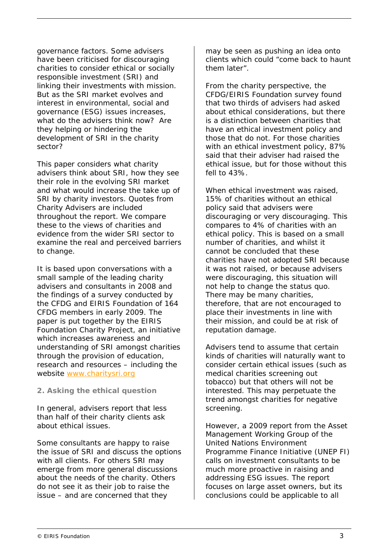governance factors. Some advisers have been criticised for discouraging charities to consider ethical or socially responsible investment (SRI) and linking their investments with mission. But as the SRI market evolves and interest in environmental, social and governance (ESG) issues increases, what do the advisers think now? Are they helping or hindering the development of SRI in the charity sector?

This paper considers what charity advisers think about SRI, how they see their role in the evolving SRI market and what would increase the take up of SRI by charity investors. Quotes from Charity Advisers are included throughout the report. We compare these to the views of charities and evidence from the wider SRI sector to examine the real and perceived barriers to change.

It is based upon conversations with a small sample of the leading charity advisers and consultants in 2008 and the findings of a survey conducted by the CFDG and EIRIS Foundation of 164 CFDG members in early 2009. The paper is put together by the EIRIS Foundation Charity Project, an initiative which increases awareness and understanding of SRI amongst charities through the provision of education, research and resources – including the website www.charitysri.org

## **2. Asking the ethical question**

In general, advisers report that less than half of their charity clients ask about ethical issues.

Some consultants are happy to raise the issue of SRI and discuss the options with all clients. For others SRI may emerge from more general discussions about the needs of the charity. Others do not see it as their job to raise the issue – and are concerned that they

may be seen as pushing an idea onto clients which could "come back to haunt them later".

From the charity perspective, the CFDG/EIRIS Foundation survey found that two thirds of advisers had asked about ethical considerations, but there is a distinction between charities that have an ethical investment policy and those that do not. For those charities with an ethical investment policy, 87% said that their adviser had raised the ethical issue, but for those without this fell to 43%.

When ethical investment was raised. 15% of charities without an ethical policy said that advisers were discouraging or very discouraging. This compares to 4% of charities with an ethical policy. This is based on a small number of charities, and whilst it cannot be concluded that these charities have not adopted SRI because it was not raised, or because advisers were discouraging, this situation will not help to change the status quo. There may be many charities, therefore, that are not encouraged to place their investments in line with their mission, and could be at risk of reputation damage.

Advisers tend to assume that certain kinds of charities will naturally want to consider certain ethical issues (such as medical charities screening out tobacco) but that others will not be interested. This may perpetuate the trend amongst charities for negative screening.

However, a 2009 report from the Asset Management Working Group of the United Nations Environment Programme Finance Initiative (UNEP FI) calls on investment consultants to be much more proactive in raising and addressing ESG issues. The report focuses on large asset owners, but its conclusions could be applicable to all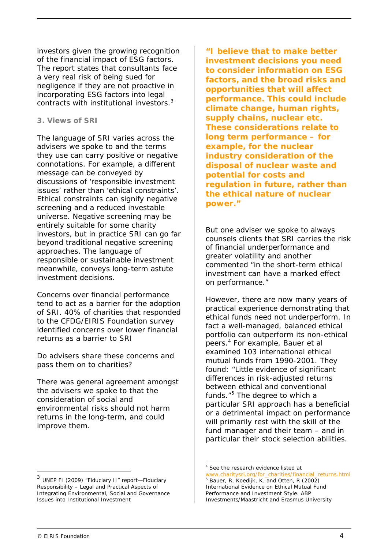investors given the growing recognition of the financial impact of ESG factors. The report states that consultants face a very real risk of being sued for negligence if they are not proactive in incorporating ESG factors into legal contracts with institutional investors.<sup>3</sup>

#### **3. Views of SRI**

The language of SRI varies across the advisers we spoke to and the terms they use can carry positive or negative connotations. For example, a different message can be conveyed by discussions of 'responsible investment issues' rather than 'ethical constraints'. Ethical constraints can signify negative screening and a reduced investable universe. Negative screening may be entirely suitable for some charity investors, but in practice SRI can go far beyond traditional negative screening approaches. The language of responsible or sustainable investment meanwhile, conveys long-term astute investment decisions.

Concerns over financial performance tend to act as a barrier for the adoption of SRI. 40% of charities that responded to the CFDG/EIRIS Foundation survey identified concerns over lower financial returns as a barrier to SRI

Do advisers share these concerns and pass them on to charities?

There was general agreement amongst the advisers we spoke to that the consideration of social and environmental risks should not harm returns in the long-term, and could improve them.

**"I believe that to make better investment decisions you need to consider information on ESG factors, and the broad risks and opportunities that will affect performance. This could include climate change, human rights, supply chains, nuclear etc. These considerations relate to long term performance – for example, for the nuclear industry consideration of the disposal of nuclear waste and potential for costs and regulation in future, rather than the ethical nature of nuclear power."** 

But one adviser we spoke to always counsels clients that SRI carries the risk of financial underperformance and greater volatility and another commented "in the short-term ethical investment can have a marked effect on performance."

However, there are now many years of practical experience demonstrating that ethical funds need not underperform. In fact a well-managed, balanced ethical portfolio can outperform its non-ethical peers.<sup>4</sup> For example, Bauer et al examined 103 international ethical mutual funds from 1990-2001. They found: "Little evidence of significant differences in risk-adjusted returns between ethical and conventional funds."<sup>5</sup> The degree to which a particular SRI approach has a beneficial or a detrimental impact on performance will primarily rest with the skill of the fund manager and their team – and in particular their stock selection abilities.

j

j

 $3$  UNEP FI (2009) "Fiduciary II" report-Fiduciary Responsibility – Legal and Practical Aspects of Integrating Environmental, Social and Governance Issues into Institutional Investment

<sup>4</sup> See the research evidence listed at

www.charitysri.org/for\_charities/financial\_returns.html <sup>5</sup> Bauer, R, Koedijk, K. and Otten, R (2002) International Evidence on Ethical Mutual Fund Performance and Investment Style. ABP Investments/Maastricht and Erasmus University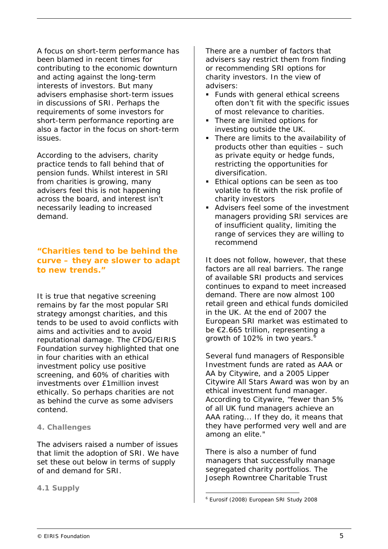A focus on short-term performance has been blamed in recent times for contributing to the economic downturn and acting against the long-term interests of investors. But many advisers emphasise short-term issues in discussions of SRI. Perhaps the requirements of some investors for short-term performance reporting are also a factor in the focus on short-term issues.

According to the advisers, charity practice tends to fall behind that of pension funds. Whilst interest in SRI from charities is growing, many advisers feel this is not happening across the board, and interest isn't necessarily leading to increased demand.

# **"Charities tend to be behind the curve – they are slower to adapt to new trends."**

It is true that negative screening remains by far the most popular SRI strategy amongst charities, and this tends to be used to avoid conflicts with aims and activities and to avoid reputational damage. The CFDG/EIRIS Foundation survey highlighted that one in four charities with an ethical investment policy use positive screening, and 60% of charities with investments over £1million invest ethically. So perhaps charities are not as behind the curve as some advisers contend.

## **4. Challenges**

The advisers raised a number of issues that limit the adoption of SRI. We have set these out below in terms of supply of and demand for SRI.

**4.1 Supply** 

There are a number of factors that advisers say restrict them from finding or recommending SRI options for charity investors. In the view of advisers:

- **Funds with general ethical screens** often don't fit with the specific issues of most relevance to charities.
- There are limited options for investing outside the UK.
- There are limits to the availability of products other than equities – such as private equity or hedge funds, restricting the opportunities for diversification.
- **Ethical options can be seen as too** volatile to fit with the risk profile of charity investors
- Advisers feel some of the investment managers providing SRI services are of insufficient quality, limiting the range of services they are willing to recommend

It does not follow, however, that these factors are all real barriers. The range of available SRI products and services continues to expand to meet increased demand. There are now almost 100 retail green and ethical funds domiciled in the UK. At the end of 2007 the European SRI market was estimated to be €2.665 trillion, representing a growth of 102% in two years.<sup>6</sup>

Several fund managers of Responsible Investment funds are rated as AAA or AA by Citywire, and a 2005 Lipper Citywire All Stars Award was won by an ethical investment fund manager. According to Citywire, "fewer than 5% of all UK fund managers achieve an AAA rating... If they do, it means that they have performed very well and are among an elite."

There is also a number of fund managers that successfully manage segregated charity portfolios. The Joseph Rowntree Charitable Trust

j 6 Eurosif (2008) European SRI Study 2008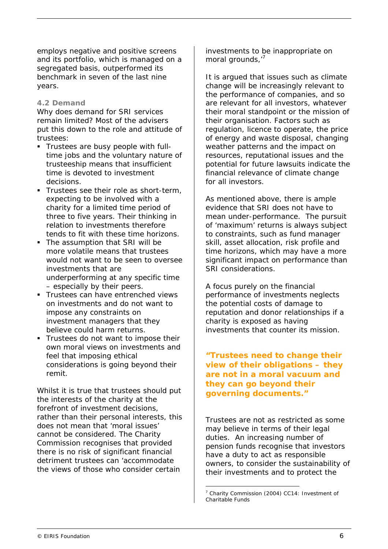employs negative and positive screens and its portfolio, which is managed on a segregated basis, outperformed its benchmark in seven of the last nine years.

## **4.2 Demand**

Why does demand for SRI services remain limited? Most of the advisers put this down to the role and attitude of trustees:

- Trustees are busy people with fulltime jobs and the voluntary nature of trusteeship means that insufficient time is devoted to investment decisions.
- Trustees see their role as short-term, expecting to be involved with a charity for a limited time period of three to five years. Their thinking in relation to investments therefore tends to fit with these time horizons.
- The assumption that SRI will be more volatile means that trustees would not want to be seen to oversee investments that are underperforming at any specific time – especially by their peers.
- **Trustees can have entrenched views** on investments and do not want to impose any constraints on investment managers that they believe could harm returns.
- Trustees do not want to impose their own moral views on investments and feel that imposing ethical considerations is going beyond their remit.

Whilst it is true that trustees should put the interests of the charity at the forefront of investment decisions, rather than their personal interests, this does not mean that 'moral issues' cannot be considered. The Charity Commission recognises that provided there is no risk of significant financial detriment trustees can 'accommodate the views of those who consider certain

investments to be inappropriate on moral grounds,'7 

It is argued that issues such as climate change will be increasingly relevant to the performance of companies, and so are relevant for all investors, whatever their moral standpoint or the mission of their organisation. Factors such as regulation, licence to operate, the price of energy and waste disposal, changing weather patterns and the impact on resources, reputational issues and the potential for future lawsuits indicate the financial relevance of climate change for all investors.

As mentioned above, there is ample evidence that SRI does not have to mean under-performance. The pursuit of 'maximum' returns is always subject to constraints, such as fund manager skill, asset allocation, risk profile and time horizons, which may have a more significant impact on performance than SRI considerations.

A focus purely on the financial performance of investments neglects the potential costs of damage to reputation and donor relationships if a charity is exposed as having investments that counter its mission.

**"Trustees need to change their view of their obligations – they are not in a moral vacuum and they can go beyond their governing documents."** 

Trustees are not as restricted as some may believe in terms of their legal duties. An increasing number of pension funds recognise that investors have a duty to act as responsible owners, to consider the sustainability of their investments and to protect the

j

<sup>&</sup>lt;sup>7</sup> Charity Commission (2004) CC14: Investment of Charitable Funds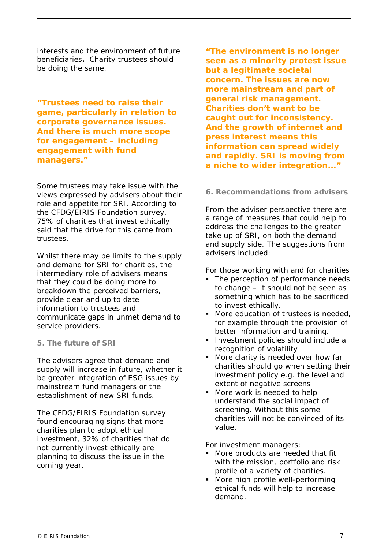interests and the environment of future beneficiaries**.** Charity trustees should be doing the same.

**"Trustees need to raise their game, particularly in relation to corporate governance issues. And there is much more scope for engagement – including engagement with fund managers."** 

Some trustees may take issue with the views expressed by advisers about their role and appetite for SRI. According to the CFDG/EIRIS Foundation survey, 75% of charities that invest ethically said that the drive for this came from trustees.

Whilst there may be limits to the supply and demand for SRI for charities, the intermediary role of advisers means that they could be doing more to breakdown the perceived barriers, provide clear and up to date information to trustees and communicate gaps in unmet demand to service providers.

## **5. The future of SRI**

The advisers agree that demand and supply will increase in future, whether it be greater integration of ESG issues by mainstream fund managers or the establishment of new SRI funds.

The CFDG/EIRIS Foundation survey found encouraging signs that more charities plan to adopt ethical investment, 32% of charities that do not currently invest ethically are planning to discuss the issue in the coming year.

**"The environment is no longer seen as a minority protest issue but a legitimate societal concern. The issues are now more mainstream and part of general risk management. Charities don't want to be caught out for inconsistency. And the growth of internet and press interest means this information can spread widely and rapidly. SRI is moving from a niche to wider integration..."** 

## **6. Recommendations from advisers**

From the adviser perspective there are a range of measures that could help to address the challenges to the greater take up of SRI, on both the demand and supply side. The suggestions from advisers included:

For those working with and for charities

- The perception of performance needs to change – it should not be seen as something which has to be sacrificed to invest ethically.
- More education of trustees is needed, for example through the provision of better information and training.
- **Investment policies should include a** recognition of volatility
- More clarity is needed over how far charities should go when setting their investment policy e.g. the level and extent of negative screens
- **More work is needed to help** understand the social impact of screening. Without this some charities will not be convinced of its value.

For investment managers:

- **More products are needed that fit** with the mission, portfolio and risk profile of a variety of charities.
- More high profile well-performing ethical funds will help to increase demand.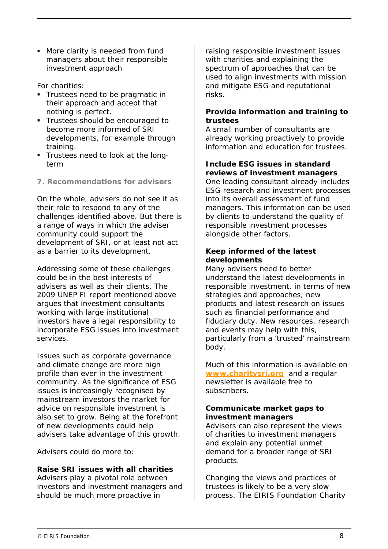**More clarity is needed from fund** managers about their responsible investment approach

For charities:

- **Trustees need to be pragmatic in** their approach and accept that nothing is perfect.
- Trustees should be encouraged to become more informed of SRI developments, for example through training.
- Trustees need to look at the longterm
- **7. Recommendations for advisers**

On the whole, advisers do not see it as their role to respond to any of the challenges identified above. But there is a range of ways in which the adviser community could support the development of SRI, or at least not act as a barrier to its development.

Addressing some of these challenges could be in the best interests of advisers as well as their clients. The 2009 UNEP FI report mentioned above argues that investment consultants working with large institutional investors have a legal responsibility to incorporate ESG issues into investment services.

Issues such as corporate governance and climate change are more high profile than ever in the investment community. As the significance of ESG issues is increasingly recognised by mainstream investors the market for advice on responsible investment is also set to grow. Being at the forefront of new developments could help advisers take advantage of this growth.

Advisers could do more to:

# **Raise SRI issues with all charities**

Advisers play a pivotal role between investors and investment managers and should be much more proactive in

raising responsible investment issues with charities and explaining the spectrum of approaches that can be used to align investments with mission and mitigate ESG and reputational risks.

## **Provide information and training to trustees**

A small number of consultants are already working proactively to provide information and education for trustees.

# **Include ESG issues in standard reviews of investment managers**

One leading consultant already includes ESG research and investment processes into its overall assessment of fund managers. This information can be used by clients to understand the quality of responsible investment processes alongside other factors.

## **Keep informed of the latest developments**

Many advisers need to better understand the latest developments in responsible investment, in terms of new strategies and approaches, new products and latest research on issues such as financial performance and fiduciary duty. New resources, research and events may help with this, particularly from a 'trusted' mainstream body.

Much of this information is available on **www.charitysri.org** and a regular newsletter is available free to subscribers.

## **Communicate market gaps to investment managers**

Advisers can also represent the views of charities to investment managers and explain any potential unmet demand for a broader range of SRI products.

Changing the views and practices of trustees is likely to be a very slow process. The EIRIS Foundation Charity